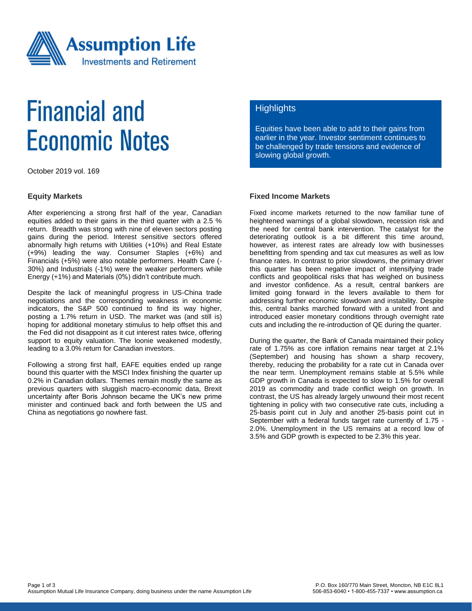

# **Financial and Economic Notes**

October 2019 vol. 169

#### **Equity Markets**

After experiencing a strong first half of the year, Canadian equities added to their gains in the third quarter with a 2.5 % return. Breadth was strong with nine of eleven sectors posting gains during the period. Interest sensitive sectors offered abnormally high returns with Utilities (+10%) and Real Estate (+9%) leading the way. Consumer Staples (+6%) and Financials (+5%) were also notable performers. Health Care (- 30%) and Industrials (-1%) were the weaker performers while Energy (+1%) and Materials (0%) didn't contribute much.

Despite the lack of meaningful progress in US-China trade negotiations and the corresponding weakness in economic indicators, the S&P 500 continued to find its way higher, posting a 1.7% return in USD. The market was (and still is) hoping for additional monetary stimulus to help offset this and the Fed did not disappoint as it cut interest rates twice, offering support to equity valuation. The loonie weakened modestly, leading to a 3.0% return for Canadian investors.

Following a strong first half, EAFE equities ended up range bound this quarter with the MSCI Index finishing the quarter up 0.2% in Canadian dollars. Themes remain mostly the same as previous quarters with sluggish macro-economic data, Brexit uncertainty after Boris Johnson became the UK's new prime minister and continued back and forth between the US and China as negotiations go nowhere fast.

### **Highlights**

Equities have been able to add to their gains from earlier in the year. Investor sentiment continues to be challenged by trade tensions and evidence of slowing global growth.

#### **Fixed Income Markets**

Fixed income markets returned to the now familiar tune of heightened warnings of a global slowdown, recession risk and the need for central bank intervention. The catalyst for the deteriorating outlook is a bit different this time around, however, as interest rates are already low with businesses benefitting from spending and tax cut measures as well as low finance rates. In contrast to prior slowdowns, the primary driver this quarter has been negative impact of intensifying trade conflicts and geopolitical risks that has weighed on business and investor confidence. As a result, central bankers are limited going forward in the levers available to them for addressing further economic slowdown and instability. Despite this, central banks marched forward with a united front and introduced easier monetary conditions through overnight rate cuts and including the re-introduction of QE during the quarter.

During the quarter, the Bank of Canada maintained their policy rate of 1.75% as core inflation remains near target at 2.1% (September) and housing has shown a sharp recovery, thereby, reducing the probability for a rate cut in Canada over the near term. Unemployment remains stable at 5.5% while GDP growth in Canada is expected to slow to 1.5% for overall 2019 as commodity and trade conflict weigh on growth. In contrast, the US has already largely unwound their most recent tightening in policy with two consecutive rate cuts, including a 25-basis point cut in July and another 25-basis point cut in September with a federal funds target rate currently of 1.75 - 2.0%. Unemployment in the US remains at a record low of 3.5% and GDP growth is expected to be 2.3% this year.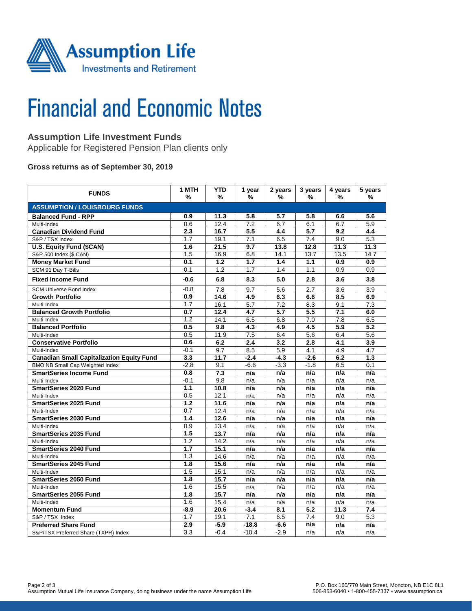

# **Financial and Economic Notes**

# **Assumption Life Investment Funds**

Applicable for Registered Pension Plan clients only

### **Gross returns as of September 30, 2019**

| <b>FUNDS</b>                                     | 1 MTH<br>%       | <b>YTD</b><br>%  | 1 year<br>% | 2 years<br>% | 3 years<br>% | 4 years<br>%     | 5 years<br>%     |  |  |  |  |
|--------------------------------------------------|------------------|------------------|-------------|--------------|--------------|------------------|------------------|--|--|--|--|
| <b>ASSUMPTION / LOUISBOURG FUNDS</b>             |                  |                  |             |              |              |                  |                  |  |  |  |  |
| <b>Balanced Fund - RPP</b>                       | 0.9              | 11.3             | 5.8         | 5.7          | 5.8          | 6.6              | 5.6              |  |  |  |  |
| Multi-Index                                      | 0.6              | 12.4             | 7.2         | 6.7          | 6.1          | 6.7              | 5.9              |  |  |  |  |
| <b>Canadian Dividend Fund</b>                    | 2.3              | 16.7             | 5.5         | 4.4          | 5.7          | 9.2              | 4.4              |  |  |  |  |
| S&P / TSX Index                                  | 1.7              | 19.1             | 7.1         | 6.5          | 7.4          | 9.0              | 5.3              |  |  |  |  |
| U.S. Equity Fund (\$CAN)                         | 1.6              | 21.5             | 9.7         | 13.8         | 12.8         | 11.3             | 11.3             |  |  |  |  |
| S&P 500 Index (\$ CAN)                           | 1.5              | 16.9             | 6.8         | 14.1         | 13.7         | 13.5             | 14.7             |  |  |  |  |
| <b>Money Market Fund</b>                         | 0.1              | $\overline{1.2}$ | 1.7         | 1.4          | 1.1          | 0.9              | 0.9              |  |  |  |  |
| SCM 91 Day T-Bills                               | 0.1              | 1.2              | 1.7         | 1.4          | 1.1          | 0.9              | 0.9              |  |  |  |  |
| <b>Fixed Income Fund</b>                         | -0.6             | 6.8              | 8.3         | 5.0          | 2.8          | 3.6              | 3.8              |  |  |  |  |
| <b>SCM Universe Bond Index</b>                   | $-0.8$           | 7.8              | 9.7         | 5.6          | 2.7          | 3.6              | 3.9              |  |  |  |  |
| <b>Growth Portfolio</b>                          | 0.9              | 14.6             | 4.9         | 6.3          | 6.6          | 8.5              | 6.9              |  |  |  |  |
| Multi-Index                                      | 1.7              | 16.1             | 5.7         | 7.2          | 8.3          | 9.1              | 7.3              |  |  |  |  |
| <b>Balanced Growth Portfolio</b>                 | 0.7              | 12.4             | 4.7         | 5.7          | 5.5          | 7.1              | 6.0              |  |  |  |  |
| Multi-Index                                      | 1.2              | 14.1             | 6.5         | 6.8          | 7.0          | 7.8              | 6.5              |  |  |  |  |
| <b>Balanced Portfolio</b>                        | 0.5              | 9.8              | 4.3         | 4.9          | 4.5          | $\overline{5.9}$ | $\overline{5.2}$ |  |  |  |  |
| Multi-Index                                      | 0.5              | 11.9             | 7.5         | 6.4          | 5.6          | 6.4              | 5.6              |  |  |  |  |
| <b>Conservative Portfolio</b>                    | 0.6              | 6.2              | 2.4         | 3.2          | 2.8          | 4.1              | 3.9              |  |  |  |  |
| Multi-Index                                      | $-0.1$           | 9.7              | 8.5         | 5.9          | 4.1          | 4.9              | 4.7              |  |  |  |  |
| <b>Canadian Small Capitalization Equity Fund</b> | 3.3              | 11.7             | $-2.4$      | -4.3         | $-2.6$       | 6.2              | 1.3              |  |  |  |  |
| <b>BMO NB Small Cap Weighted Index</b>           | $-2.8$           | 9.1              | $-6.6$      | $-3.3$       | $-1.8$       | 6.5              | 0.1              |  |  |  |  |
| <b>SmartSeries Income Fund</b>                   | 0.8              | 7.3              | n/a         | n/a          | n/a          | n/a              | n/a              |  |  |  |  |
| Multi-Index                                      | $-0.1$           | 9.8              | n/a         | n/a          | n/a          | n/a              | n/a              |  |  |  |  |
| <b>SmartSeries 2020 Fund</b>                     | $1.1$            | 10.8             | n/a         | n/a          | n/a          | n/a              | n/a              |  |  |  |  |
| Multi-Index                                      | 0.5              | 12.1             | n/a         | n/a          | n/a          | n/a              | n/a              |  |  |  |  |
| <b>SmartSeries 2025 Fund</b>                     | 1.2              | 11.6             | n/a         | n/a          | n/a          | n/a              | n/a              |  |  |  |  |
| Multi-Index                                      | 0.7              | 12.4             | n/a         | n/a          | n/a          | n/a              | n/a              |  |  |  |  |
| SmartSeries 2030 Fund                            | 1.4              | 12.6             | n/a         | n/a          | n/a          | n/a              | n/a              |  |  |  |  |
| Multi-Index                                      | $\overline{0.9}$ | 13.4             | n/a         | n/a          | n/a          | n/a              | n/a              |  |  |  |  |
| <b>SmartSeries 2035 Fund</b>                     | 1.5              | 13.7             | n/a         | n/a          | n/a          | n/a              | n/a              |  |  |  |  |
| Multi-Index                                      | 1.2              | 14.2             | n/a         | n/a          | n/a          | n/a              | n/a              |  |  |  |  |
| <b>SmartSeries 2040 Fund</b>                     | 1.7              | 15.1             | n/a         | n/a          | n/a          | n/a              | n/a              |  |  |  |  |
| Multi-Index                                      | $\overline{1.3}$ | 14.6             | n/a         | n/a          | n/a          | n/a              | n/a              |  |  |  |  |
| <b>SmartSeries 2045 Fund</b>                     | 1.8              | 15.6             | n/a         | n/a          | n/a          | n/a              | n/a              |  |  |  |  |
| Multi-Index                                      | 1.5              | 15.1             | n/a         | n/a          | n/a          | n/a              | n/a              |  |  |  |  |
| <b>SmartSeries 2050 Fund</b>                     | 1.8              | 15.7             | n/a         | n/a          | n/a          | n/a              | n/a              |  |  |  |  |
| Multi-Index                                      | 1.6              | 15.5             | n/a         | n/a          | n/a          | n/a              | n/a              |  |  |  |  |
| <b>SmartSeries 2055 Fund</b>                     | 1.8              | 15.7             | n/a         | n/a          | n/a          | n/a              | n/a              |  |  |  |  |
| Multi-Index                                      | 1.6              | 15.4             | n/a         | n/a          | n/a          | n/a              | n/a              |  |  |  |  |
| <b>Momentum Fund</b>                             | -8.9             | 20.6             | $-3.4$      | 8.1          | 5.2          | 11.3             | 7.4              |  |  |  |  |
| S&P / TSX Index                                  | 1.7              | 19.1             | 7.1         | 6.5          | 7.4          | 9.0              | 5.3              |  |  |  |  |
| <b>Preferred Share Fund</b>                      | 2.9              | $-5.9$           | $-18.8$     | -6.6         | n/a          | n/a              | n/a              |  |  |  |  |
| S&P/TSX Preferred Share (TXPR) Index             | 3.3              | $-0.4$           | $-10.4$     | $-2.9$       | n/a          | n/a              | n/a              |  |  |  |  |